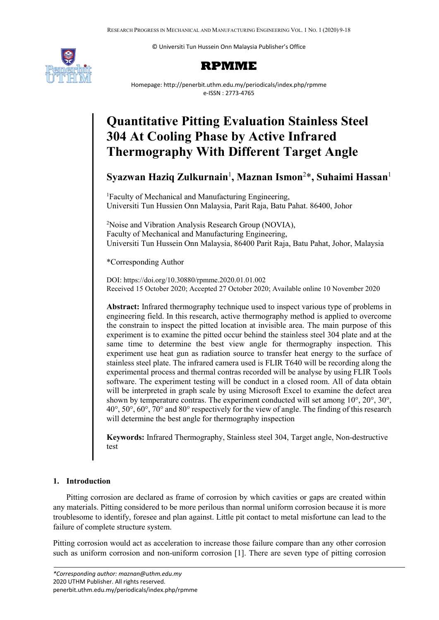© Universiti Tun Hussein Onn Malaysia Publisher's Office



## **RPMME**

Homepage: http://penerbit.uthm.edu.my/periodicals/index.php/rpmme e-ISSN : 2773-4765

# **Quantitative Pitting Evaluation Stainless Steel 304 At Cooling Phase by Active Infrared Thermography With Different Target Angle**

**Syazwan Haziq Zulkurnain**<sup>1</sup> **, Maznan Ismon**<sup>2</sup> \* **, Suhaimi Hassan**<sup>1</sup>

<sup>1</sup>Faculty of Mechanical and Manufacturing Engineering, Universiti Tun Hussien Onn Malaysia, Parit Raja, Batu Pahat. 86400, Johor

<sup>2</sup>Noise and Vibration Analysis Research Group (NOVIA), Faculty of Mechanical and Manufacturing Engineering, Universiti Tun Hussein Onn Malaysia, 86400 Parit Raja, Batu Pahat, Johor, Malaysia

\*Corresponding Author

DOI: https://doi.org/10.30880/rpmme.2020.01.01.002 Received 15 October 2020; Accepted 27 October 2020; Available online 10 November 2020

**Abstract:** Infrared thermography technique used to inspect various type of problems in engineering field. In this research, active thermography method is applied to overcome the constrain to inspect the pitted location at invisible area. The main purpose of this experiment is to examine the pitted occur behind the stainless steel 304 plate and at the same time to determine the best view angle for thermography inspection. This experiment use heat gun as radiation source to transfer heat energy to the surface of stainless steel plate. The infrared camera used is FLIR T640 will be recording along the experimental process and thermal contras recorded will be analyse by using FLIR Tools software. The experiment testing will be conduct in a closed room. All of data obtain will be interpreted in graph scale by using Microsoft Excel to examine the defect area shown by temperature contras. The experiment conducted will set among 10°, 20°, 30°, 40°, 50°, 60°, 70° and 80° respectively for the view of angle. The finding of this research will determine the best angle for thermography inspection

**Keywords:** Infrared Thermography, Stainless steel 304, Target angle, Non-destructive test

## **1. Introduction**

Pitting corrosion are declared as frame of corrosion by which cavities or gaps are created within any materials. Pitting considered to be more perilous than normal uniform corrosion because it is more troublesome to identify, foresee and plan against. Little pit contact to metal misfortune can lead to the failure of complete structure system.

Pitting corrosion would act as acceleration to increase those failure compare than any other corrosion such as uniform corrosion and non-uniform corrosion [1]. There are seven type of pitting corrosion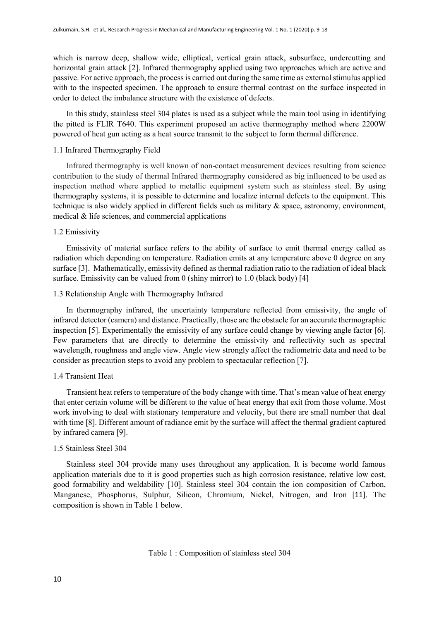which is narrow deep, shallow wide, elliptical, vertical grain attack, subsurface, undercutting and horizontal grain attack [2]. Infrared thermography applied using two approaches which are active and passive. For active approach, the process is carried out during the same time as external stimulus applied with to the inspected specimen. The approach to ensure thermal contrast on the surface inspected in order to detect the imbalance structure with the existence of defects.

In this study, stainless steel 304 plates is used as a subject while the main tool using in identifying the pitted is FLIR T640. This experiment proposed an active thermography method where 2200W powered of heat gun acting as a heat source transmit to the subject to form thermal difference.

#### 1.1 Infrared Thermography Field

Infrared thermography is well known of non-contact measurement devices resulting from science contribution to the study of thermal Infrared thermography considered as big influenced to be used as inspection method where applied to metallic equipment system such as stainless steel. By using thermography systems, it is possible to determine and localize internal defects to the equipment. This technique is also widely applied in different fields such as military & space, astronomy, environment, medical & life sciences, and commercial applications

#### 1.2 Emissivity

Emissivity of material surface refers to the ability of surface to emit thermal energy called as radiation which depending on temperature. Radiation emits at any temperature above 0 degree on any surface [3]. Mathematically, emissivity defined as thermal radiation ratio to the radiation of ideal black surface. Emissivity can be valued from 0 (shiny mirror) to 1.0 (black body) [4]

### 1.3 Relationship Angle with Thermography Infrared

In thermography infrared, the uncertainty temperature reflected from emissivity, the angle of infrared detector (camera) and distance. Practically, those are the obstacle for an accurate thermographic inspection [5]. Experimentally the emissivity of any surface could change by viewing angle factor [6]. Few parameters that are directly to determine the emissivity and reflectivity such as spectral wavelength, roughness and angle view. Angle view strongly affect the radiometric data and need to be consider as precaution steps to avoid any problem to spectacular reflection [7].

#### 1.4 Transient Heat

Transient heat refers to temperature of the body change with time. That's mean value of heat energy that enter certain volume will be different to the value of heat energy that exit from those volume. Most work involving to deal with stationary temperature and velocity, but there are small number that deal with time [8]. Different amount of radiance emit by the surface will affect the thermal gradient captured by infrared camera [9].

#### 1.5 Stainless Steel 304

Stainless steel 304 provide many uses throughout any application. It is become world famous application materials due to it is good properties such as high corrosion resistance, relative low cost, good formability and weldability [10]. Stainless steel 304 contain the ion composition of Carbon, Manganese, Phosphorus, Sulphur, Silicon, Chromium, Nickel, Nitrogen, and Iron [11]. The composition is shown in Table 1 below.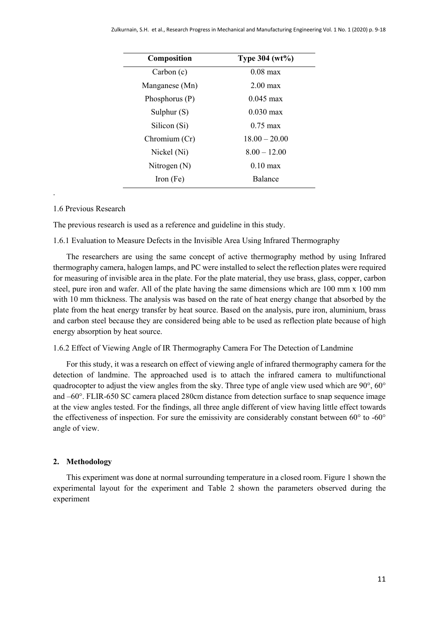| Composition      | Type 304 (wt%)      |
|------------------|---------------------|
| Carbon(c)        | $0.08 \text{ max}$  |
| Manganese (Mn)   | $2.00 \text{ max}$  |
| Phosphorus $(P)$ | $0.045 \text{ max}$ |
| Sulphur $(S)$    | $0.030 \text{ max}$ |
| Silicon (Si)     | $0.75 \text{ max}$  |
| Chromium (Cr)    | $18.00 - 20.00$     |
| Nickel (Ni)      | $8.00 - 12.00$      |
| Nitrogen $(N)$   | $0.10$ max          |
| Iron (Fe)        | <b>Balance</b>      |

## 1.6 Previous Research

.

The previous research is used as a reference and guideline in this study.

1.6.1 Evaluation to Measure Defects in the Invisible Area Using Infrared Thermography

The researchers are using the same concept of active thermography method by using Infrared thermography camera, halogen lamps, and PC were installed to select the reflection plates were required for measuring of invisible area in the plate. For the plate material, they use brass, glass, copper, carbon steel, pure iron and wafer. All of the plate having the same dimensions which are 100 mm x 100 mm with 10 mm thickness. The analysis was based on the rate of heat energy change that absorbed by the plate from the heat energy transfer by heat source. Based on the analysis, pure iron, aluminium, brass and carbon steel because they are considered being able to be used as reflection plate because of high energy absorption by heat source.

#### 1.6.2 Effect of Viewing Angle of IR Thermography Camera For The Detection of Landmine

For this study, it was a research on effect of viewing angle of infrared thermography camera for the detection of landmine. The approached used is to attach the infrared camera to multifunctional quadrocopter to adjust the view angles from the sky. Three type of angle view used which are 90°, 60° and –60°. FLIR-650 SC camera placed 280cm distance from detection surface to snap sequence image at the view angles tested. For the findings, all three angle different of view having little effect towards the effectiveness of inspection. For sure the emissivity are considerably constant between 60° to -60° angle of view.

#### **2. Methodology**

This experiment was done at normal surrounding temperature in a closed room. Figure 1 shown the experimental layout for the experiment and Table 2 shown the parameters observed during the experiment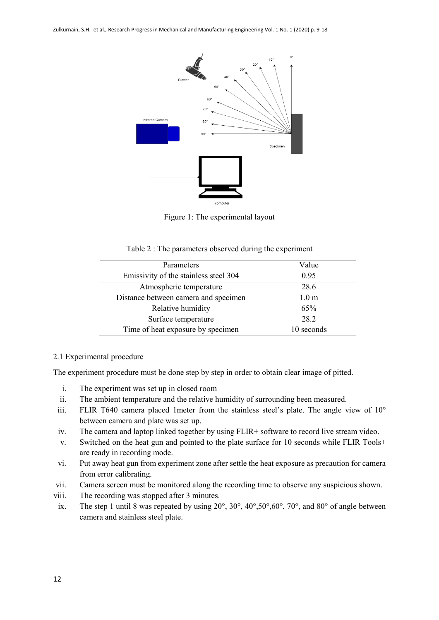

Figure 1: The experimental layout

| Table 2 : The parameters observed during the experiment |  |  |
|---------------------------------------------------------|--|--|
|                                                         |  |  |

| Parameters                            | Value            |
|---------------------------------------|------------------|
| Emissivity of the stainless steel 304 | 0.95             |
| Atmospheric temperature               | 28.6             |
| Distance between camera and specimen  | 1.0 <sub>m</sub> |
| Relative humidity                     | 65%              |
| Surface temperature                   | 28.2             |
| Time of heat exposure by specimen     | 10 seconds       |

## 2.1 Experimental procedure

The experiment procedure must be done step by step in order to obtain clear image of pitted.

- i. The experiment was set up in closed room
- ii. The ambient temperature and the relative humidity of surrounding been measured.
- iii. FLIR T640 camera placed 1meter from the stainless steel's plate. The angle view of 10° between camera and plate was set up.
- iv. The camera and laptop linked together by using FLIR+ software to record live stream video.
- v. Switched on the heat gun and pointed to the plate surface for 10 seconds while FLIR Tools+ are ready in recording mode.
- vi. Put away heat gun from experiment zone after settle the heat exposure as precaution for camera from error calibrating.
- vii. Camera screen must be monitored along the recording time to observe any suspicious shown.
- viii. The recording was stopped after 3 minutes.
- ix. The step 1 until 8 was repeated by using  $20^{\circ}$ ,  $30^{\circ}$ ,  $40^{\circ}$ ,  $50^{\circ}$ ,  $60^{\circ}$ ,  $70^{\circ}$ , and  $80^{\circ}$  of angle between camera and stainless steel plate.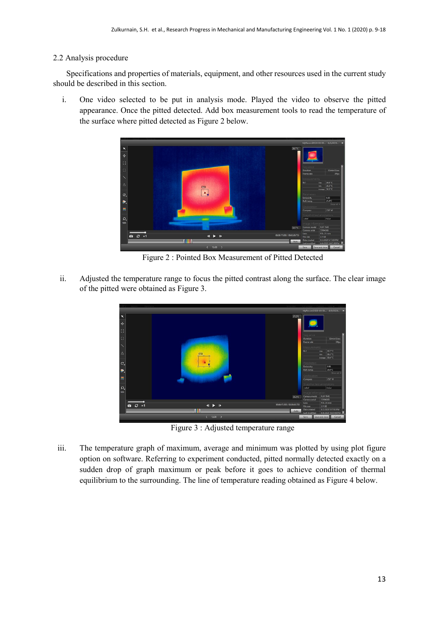## 2.2 Analysis procedure

Specifications and properties of materials, equipment, and other resources used in the current study should be described in this section.

i. One video selected to be put in analysis mode. Played the video to observe the pitted appearance. Once the pitted detected. Add box measurement tools to read the temperature of the surface where pitted detected as Figure 2 below.



Figure 2 : Pointed Box Measurement of Pitted Detected

ii. Adjusted the temperature range to focus the pitted contrast along the surface. The clear image of the pitted were obtained as Figure 3.



Figure 3 : Adjusted temperature range

iii. The temperature graph of maximum, average and minimum was plotted by using plot figure option on software. Referring to experiment conducted, pitted normally detected exactly on a sudden drop of graph maximum or peak before it goes to achieve condition of thermal equilibrium to the surrounding. The line of temperature reading obtained as Figure 4 below.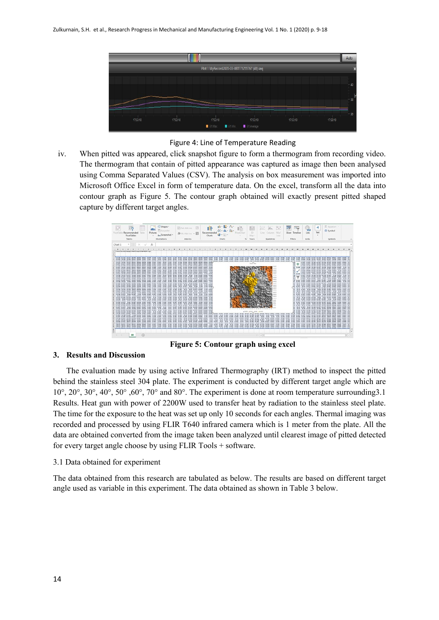

Figure 4: Line of Temperature Reading

iv. When pitted was appeared, click snapshot figure to form a thermogram from recording video. The thermogram that contain of pitted appearance was captured as image then been analysed using Comma Separated Values (CSV). The analysis on box measurement was imported into Microsoft Office Excel in form of temperature data. On the excel, transform all the data into contour graph as Figure 5. The contour graph obtained will exactly present pitted shaped capture by different target angles.



**Figure 5: Contour graph using excel**

## **3. Results and Discussion**

The evaluation made by using active Infrared Thermography (IRT) method to inspect the pitted behind the stainless steel 304 plate. The experiment is conducted by different target angle which are 10°, 20°, 30°, 40°, 50° ,60°, 70° and 80°. The experiment is done at room temperature surrounding3.1 Results. Heat gun with power of 2200W used to transfer heat by radiation to the stainless steel plate. The time for the exposure to the heat was set up only 10 seconds for each angles. Thermal imaging was recorded and processed by using FLIR T640 infrared camera which is 1 meter from the plate. All the data are obtained converted from the image taken been analyzed until clearest image of pitted detected for every target angle choose by using FLIR Tools + software.

#### 3.1 Data obtained for experiment

The data obtained from this research are tabulated as below. The results are based on different target angle used as variable in this experiment. The data obtained as shown in Table 3 below.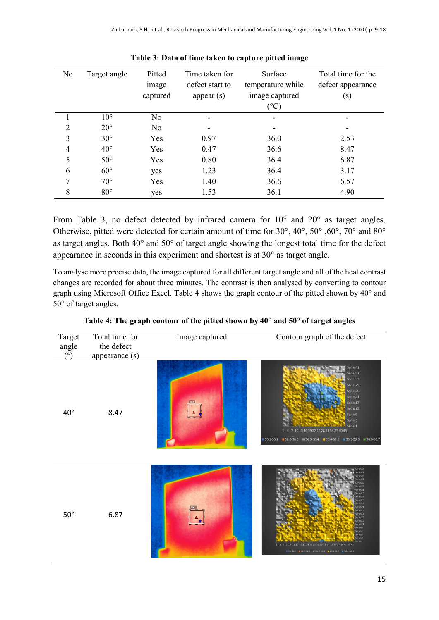| No | Target angle | Pitted<br>image<br>captured | Time taken for<br>defect start to<br>appear $(s)$ | Surface<br>temperature while<br>image captured | Total time for the<br>defect appearance<br>(s) |
|----|--------------|-----------------------------|---------------------------------------------------|------------------------------------------------|------------------------------------------------|
|    |              |                             |                                                   | $(^\circ C)$                                   |                                                |
|    | $10^{\circ}$ | No                          |                                                   |                                                |                                                |
| 2  | $20^{\circ}$ | N <sub>o</sub>              |                                                   |                                                |                                                |
| 3  | $30^\circ$   | Yes                         | 0.97                                              | 36.0                                           | 2.53                                           |
| 4  | $40^{\circ}$ | Yes                         | 0.47                                              | 36.6                                           | 8.47                                           |
| 5  | $50^\circ$   | Yes                         | 0.80                                              | 36.4                                           | 6.87                                           |
| 6  | $60^\circ$   | yes                         | 1.23                                              | 36.4                                           | 3.17                                           |
| 7  | $70^{\circ}$ | Yes                         | 1.40                                              | 36.6                                           | 6.57                                           |
| 8  | $80^{\circ}$ | yes                         | 1.53                                              | 36.1                                           | 4.90                                           |

| Table 3: Data of time taken to capture pitted image |  |
|-----------------------------------------------------|--|
|-----------------------------------------------------|--|

From Table 3, no defect detected by infrared camera for 10° and 20° as target angles. Otherwise, pitted were detected for certain amount of time for 30°, 40°, 50° ,60°, 70° and 80° as target angles. Both 40° and 50° of target angle showing the longest total time for the defect appearance in seconds in this experiment and shortest is at 30° as target angle.

To analyse more precise data, the image captured for all different target angle and all of the heat contrast changes are recorded for about three minutes. The contrast is then analysed by converting to contour graph using Microsoft Office Excel. Table 4 shows the graph contour of the pitted shown by 40° and 50° of target angles.

| Target<br>angle<br>$(^\circ)$ | Total time for<br>the defect<br>appearance (s) | Image captured | Contour graph of the defect                                                                                                                                                                                                                                                                                                                              |
|-------------------------------|------------------------------------------------|----------------|----------------------------------------------------------------------------------------------------------------------------------------------------------------------------------------------------------------------------------------------------------------------------------------------------------------------------------------------------------|
| $40^{\circ}$                  | 8.47                                           |                | Series41<br>Series37<br>Series33<br>Series29<br>Series25<br>Series21<br>Series17<br>Series13<br>Series9<br>Series5<br>ministerior March 1999, Series1<br>1 4 7 10 13 16 19 22 25 28 31 34 37 40 43<br>■ 36.1-36.2 ■ 36.2-36.3 ■ 36.3-36.4 ■ 36.4-36.5 ■ 36.5-36.6 ■ 36.6-36.7                                                                            |
| $50^\circ$                    | 6.87                                           |                | ies4.<br>ieries35<br>ieries33<br>ieries31<br>Series29<br>series27<br>eries25<br>Series23<br>Series21<br>Series19<br>Series17<br>Series15<br>Series13<br>Series11<br>Series9<br>Series7<br>SeriesS<br>Series3<br>Series <sub>1</sub><br>15 17 19 21 23 25 27 29 31 33 35 37 39 41 43 45<br>$136.36.1$ $136.1.36.2$ $136.2.36.3$ $136.3.36.4$ $136.4.36.5$ |

**Table 4: The graph contour of the pitted shown by 40° and 50° of target angles**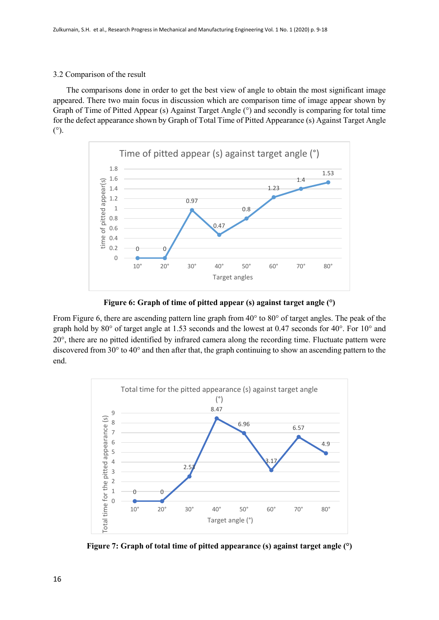## 3.2 Comparison of the result

The comparisons done in order to get the best view of angle to obtain the most significant image appeared. There two main focus in discussion which are comparison time of image appear shown by Graph of Time of Pitted Appear (s) Against Target Angle (°) and secondly is comparing for total time for the defect appearance shown by Graph of Total Time of Pitted Appearance (s) Against Target Angle (°).



**Figure 6: Graph of time of pitted appear (s) against target angle (°)**

From Figure 6, there are ascending pattern line graph from 40° to 80° of target angles. The peak of the graph hold by  $80^{\circ}$  of target angle at 1.53 seconds and the lowest at 0.47 seconds for  $40^{\circ}$ . For  $10^{\circ}$  and 20°, there are no pitted identified by infrared camera along the recording time. Fluctuate pattern were discovered from 30° to 40° and then after that, the graph continuing to show an ascending pattern to the end.



**Figure 7: Graph of total time of pitted appearance (s) against target angle (°)**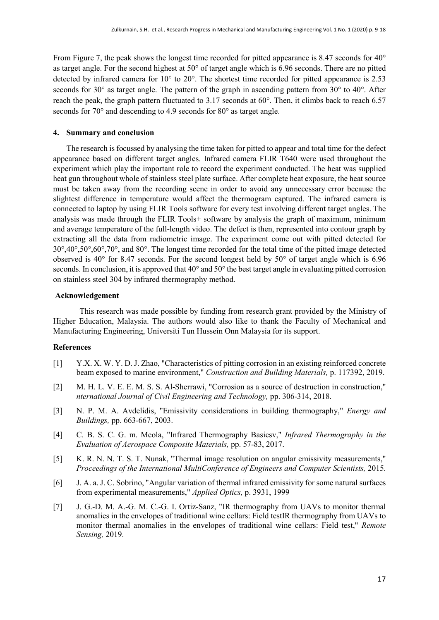From Figure 7, the peak shows the longest time recorded for pitted appearance is 8.47 seconds for 40<sup>o</sup> as target angle. For the second highest at 50° of target angle which is 6.96 seconds. There are no pitted detected by infrared camera for 10° to 20°. The shortest time recorded for pitted appearance is 2.53 seconds for 30° as target angle. The pattern of the graph in ascending pattern from 30° to 40°. After reach the peak, the graph pattern fluctuated to 3.17 seconds at 60°. Then, it climbs back to reach 6.57 seconds for 70° and descending to 4.9 seconds for 80° as target angle.

## **4. Summary and conclusion**

The research is focussed by analysing the time taken for pitted to appear and total time for the defect appearance based on different target angles. Infrared camera FLIR T640 were used throughout the experiment which play the important role to record the experiment conducted. The heat was supplied heat gun throughout whole of stainless steel plate surface. After complete heat exposure, the heat source must be taken away from the recording scene in order to avoid any unnecessary error because the slightest difference in temperature would affect the thermogram captured. The infrared camera is connected to laptop by using FLIR Tools software for every test involving different target angles. The analysis was made through the FLIR Tools+ software by analysis the graph of maximum, minimum and average temperature of the full-length video. The defect is then, represented into contour graph by extracting all the data from radiometric image. The experiment come out with pitted detected for 30°,40°,50°,60°,70°, and 80°. The longest time recorded for the total time of the pitted image detected observed is 40 $\degree$  for 8.47 seconds. For the second longest held by 50 $\degree$  of target angle which is 6.96 seconds. In conclusion, it is approved that 40° and 50° the best target angle in evaluating pitted corrosion on stainless steel 304 by infrared thermography method.

## **Acknowledgement**

This research was made possible by funding from research grant provided by the Ministry of Higher Education, Malaysia. The authors would also like to thank the Faculty of Mechanical and Manufacturing Engineering, Universiti Tun Hussein Onn Malaysia for its support.

## **References**

- [1] Y.X. X. W. Y. D. J. Zhao, "Characteristics of pitting corrosion in an existing reinforced concrete beam exposed to marine environment," *Construction and Building Materials,* p. 117392, 2019.
- [2] M. H. L. V. E. E. M. S. S. Al-Sherrawi, "Corrosion as a source of destruction in construction," *nternational Journal of Civil Engineering and Technology,* pp. 306-314, 2018.
- [3] N. P. M. A. Avdelidis, "Emissivity considerations in building thermography," *Energy and Buildings,* pp. 663-667, 2003.
- [4] C. B. S. C. G. m. Meola, "Infrared Thermography Basicsv," *Infrared Thermography in the Evaluation of Aerospace Composite Materials,* pp. 57-83, 2017.
- [5] K. R. N. N. T. S. T. Nunak, "Thermal image resolution on angular emissivity measurements," *Proceedings of the International MultiConference of Engineers and Computer Scientists,* 2015.
- [6] J. A. a. J. C. Sobrino, "Angular variation of thermal infrared emissivity for some natural surfaces from experimental measurements," *Applied Optics,* p. 3931, 1999
- [7] J. G.-D. M. A.-G. M. C.-G. I. Ortiz-Sanz, "IR thermography from UAVs to monitor thermal anomalies in the envelopes of traditional wine cellars: Field testIR thermography from UAVs to monitor thermal anomalies in the envelopes of traditional wine cellars: Field test," *Remote Sensing,* 2019.